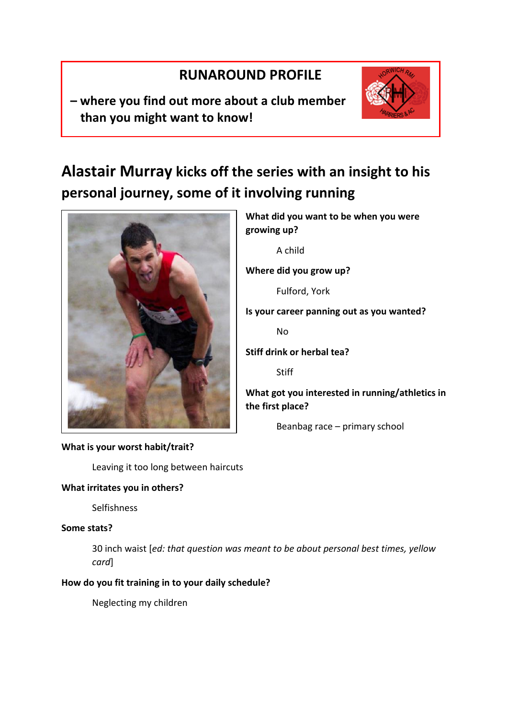## **RUNAROUND PROFILE**

**– where you find out more about a club member than you might want to know!**



# **Alastair Murray kicks off the series with an insight to his personal journey, some of it involving running**



## **What is your worst habit/trait?**

Leaving it too long between haircuts

## **What irritates you in others?**

Selfishness

## **Some stats?**

30 inch waist [*ed: that question was meant to be about personal best times, yellow card*]

## **How do you fit training in to your daily schedule?**

Neglecting my children

**What did you want to be when you were growing up?** A child **Where did you grow up?** Fulford, York **Is your career panning out as you wanted?** No **Stiff drink or herbal tea? Stiff What got you interested in running/athletics in** 

**the first place?** Beanbag race – primary school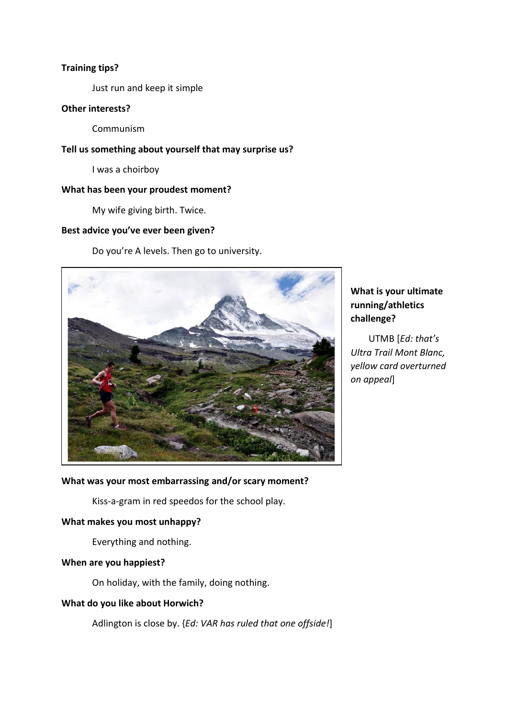### **Training tips?**

Just run and keep it simple

## **Other interests?**

Communism

## **Tell us something about yourself that may surprise us?**

I was a choirboy

#### **What has been your proudest moment?**

My wife giving birth. Twice.

#### **Best advice you've ever been given?**

Do you're A levels. Then go to university.



## **What is your ultimate running/athletics challenge?**

UTMB [*Ed: that's Ultra Trail Mont Blanc, yellow card overturned on appeal*]

## **What was your most embarrassing and/or scary moment?**

Kiss-a-gram in red speedos for the school play.

## **What makes you most unhappy?**

Everything and nothing.

#### **When are you happiest?**

On holiday, with the family, doing nothing.

## **What do you like about Horwich?**

Adlington is close by. {*Ed: VAR has ruled that one offside!*]